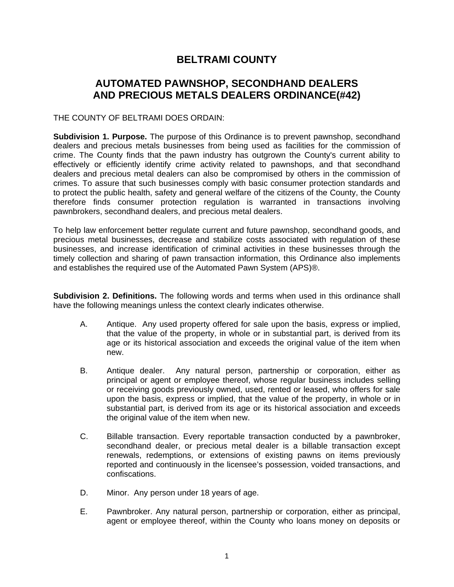# **BELTRAMI COUNTY**

# **AUTOMATED PAWNSHOP, SECONDHAND DEALERS AND PRECIOUS METALS DEALERS ORDINANCE(#42)**

### THE COUNTY OF BELTRAMI DOES ORDAIN:

**Subdivision 1. Purpose.** The purpose of this Ordinance is to prevent pawnshop, secondhand dealers and precious metals businesses from being used as facilities for the commission of crime. The County finds that the pawn industry has outgrown the County's current ability to effectively or efficiently identify crime activity related to pawnshops, and that secondhand dealers and precious metal dealers can also be compromised by others in the commission of crimes. To assure that such businesses comply with basic consumer protection standards and to protect the public health, safety and general welfare of the citizens of the County, the County therefore finds consumer protection regulation is warranted in transactions involving pawnbrokers, secondhand dealers, and precious metal dealers.

To help law enforcement better regulate current and future pawnshop, secondhand goods, and precious metal businesses, decrease and stabilize costs associated with regulation of these businesses, and increase identification of criminal activities in these businesses through the timely collection and sharing of pawn transaction information, this Ordinance also implements and establishes the required use of the Automated Pawn System (APS)®.

**Subdivision 2. Definitions.** The following words and terms when used in this ordinance shall have the following meanings unless the context clearly indicates otherwise.

- A. Antique. Any used property offered for sale upon the basis, express or implied, that the value of the property, in whole or in substantial part, is derived from its age or its historical association and exceeds the original value of the item when new.
- B. Antique dealer. Any natural person, partnership or corporation, either as principal or agent or employee thereof, whose regular business includes selling or receiving goods previously owned, used, rented or leased, who offers for sale upon the basis, express or implied, that the value of the property, in whole or in substantial part, is derived from its age or its historical association and exceeds the original value of the item when new.
- C. Billable transaction. Every reportable transaction conducted by a pawnbroker, secondhand dealer, or precious metal dealer is a billable transaction except renewals, redemptions, or extensions of existing pawns on items previously reported and continuously in the licensee's possession, voided transactions, and confiscations.
- D. Minor. Any person under 18 years of age.
- E. Pawnbroker. Any natural person, partnership or corporation, either as principal, agent or employee thereof, within the County who loans money on deposits or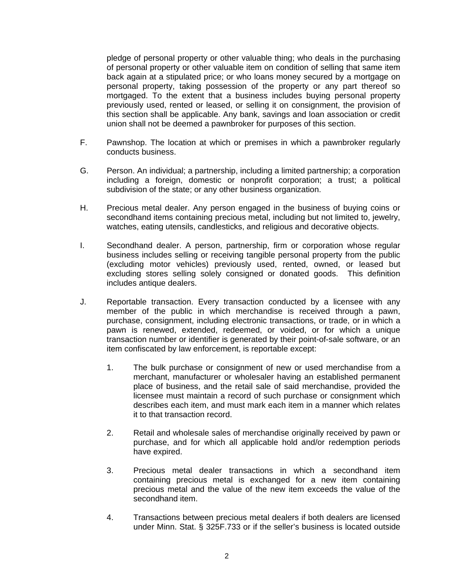pledge of personal property or other valuable thing; who deals in the purchasing of personal property or other valuable item on condition of selling that same item back again at a stipulated price; or who loans money secured by a mortgage on personal property, taking possession of the property or any part thereof so mortgaged. To the extent that a business includes buying personal property previously used, rented or leased, or selling it on consignment, the provision of this section shall be applicable. Any bank, savings and loan association or credit union shall not be deemed a pawnbroker for purposes of this section.

- F. Pawnshop. The location at which or premises in which a pawnbroker regularly conducts business.
- G. Person. An individual; a partnership, including a limited partnership; a corporation including a foreign, domestic or nonprofit corporation; a trust; a political subdivision of the state; or any other business organization.
- H. Precious metal dealer. Any person engaged in the business of buying coins or secondhand items containing precious metal, including but not limited to, jewelry, watches, eating utensils, candlesticks, and religious and decorative objects.
- I. Secondhand dealer. A person, partnership, firm or corporation whose regular business includes selling or receiving tangible personal property from the public (excluding motor vehicles) previously used, rented, owned, or leased but excluding stores selling solely consigned or donated goods. This definition includes antique dealers.
- J. Reportable transaction. Every transaction conducted by a licensee with any member of the public in which merchandise is received through a pawn, purchase, consignment, including electronic transactions, or trade, or in which a pawn is renewed, extended, redeemed, or voided, or for which a unique transaction number or identifier is generated by their point-of-sale software, or an item confiscated by law enforcement, is reportable except:
	- 1. The bulk purchase or consignment of new or used merchandise from a merchant, manufacturer or wholesaler having an established permanent place of business, and the retail sale of said merchandise, provided the licensee must maintain a record of such purchase or consignment which describes each item, and must mark each item in a manner which relates it to that transaction record.
	- 2. Retail and wholesale sales of merchandise originally received by pawn or purchase, and for which all applicable hold and/or redemption periods have expired.
	- 3. Precious metal dealer transactions in which a secondhand item containing precious metal is exchanged for a new item containing precious metal and the value of the new item exceeds the value of the secondhand item.
	- 4. Transactions between precious metal dealers if both dealers are licensed under Minn. Stat. § 325F.733 or if the seller's business is located outside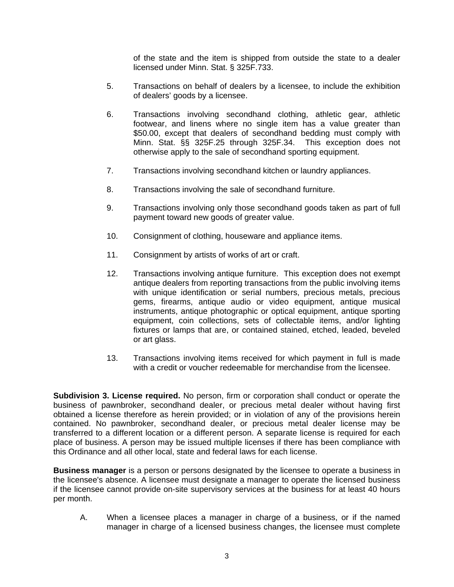of the state and the item is shipped from outside the state to a dealer licensed under Minn. Stat. § 325F.733.

- 5. Transactions on behalf of dealers by a licensee, to include the exhibition of dealers' goods by a licensee.
- 6. Transactions involving secondhand clothing, athletic gear, athletic footwear, and linens where no single item has a value greater than \$50.00, except that dealers of secondhand bedding must comply with Minn. Stat. §§ 325F.25 through 325F.34. This exception does not otherwise apply to the sale of secondhand sporting equipment.
- 7. Transactions involving secondhand kitchen or laundry appliances.
- 8. Transactions involving the sale of secondhand furniture.
- 9. Transactions involving only those secondhand goods taken as part of full payment toward new goods of greater value.
- 10. Consignment of clothing, houseware and appliance items.
- 11. Consignment by artists of works of art or craft.
- 12. Transactions involving antique furniture. This exception does not exempt antique dealers from reporting transactions from the public involving items with unique identification or serial numbers, precious metals, precious gems, firearms, antique audio or video equipment, antique musical instruments, antique photographic or optical equipment, antique sporting equipment, coin collections, sets of collectable items, and/or lighting fixtures or lamps that are, or contained stained, etched, leaded, beveled or art glass.
- 13. Transactions involving items received for which payment in full is made with a credit or voucher redeemable for merchandise from the licensee.

**Subdivision 3. License required.** No person, firm or corporation shall conduct or operate the business of pawnbroker, secondhand dealer, or precious metal dealer without having first obtained a license therefore as herein provided; or in violation of any of the provisions herein contained. No pawnbroker, secondhand dealer, or precious metal dealer license may be transferred to a different location or a different person. A separate license is required for each place of business. A person may be issued multiple licenses if there has been compliance with this Ordinance and all other local, state and federal laws for each license.

**Business manager** is a person or persons designated by the licensee to operate a business in the licensee's absence. A licensee must designate a manager to operate the licensed business if the licensee cannot provide on-site supervisory services at the business for at least 40 hours per month.

A. When a licensee places a manager in charge of a business, or if the named manager in charge of a licensed business changes, the licensee must complete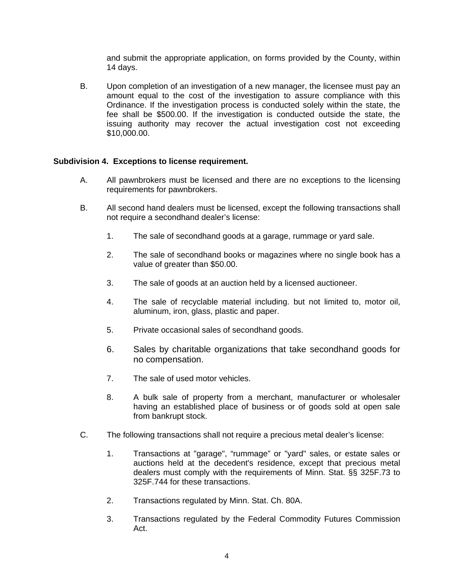and submit the appropriate application, on forms provided by the County, within 14 days.

B. Upon completion of an investigation of a new manager, the licensee must pay an amount equal to the cost of the investigation to assure compliance with this Ordinance. If the investigation process is conducted solely within the state, the fee shall be \$500.00. If the investigation is conducted outside the state, the issuing authority may recover the actual investigation cost not exceeding \$10,000.00.

#### **Subdivision 4. Exceptions to license requirement.**

- A. All pawnbrokers must be licensed and there are no exceptions to the licensing requirements for pawnbrokers.
- B. All second hand dealers must be licensed, except the following transactions shall not require a secondhand dealer's license:
	- 1. The sale of secondhand goods at a garage, rummage or yard sale.
	- 2. The sale of secondhand books or magazines where no single book has a value of greater than \$50.00.
	- 3. The sale of goods at an auction held by a licensed auctioneer.
	- 4. The sale of recyclable material including. but not limited to, motor oil, aluminum, iron, glass, plastic and paper.
	- 5. Private occasional sales of secondhand goods.
	- 6. Sales by charitable organizations that take secondhand goods for no compensation.
	- 7. The sale of used motor vehicles.
	- 8. A bulk sale of property from a merchant, manufacturer or wholesaler having an established place of business or of goods sold at open sale from bankrupt stock.
- C. The following transactions shall not require a precious metal dealer's license:
	- 1. Transactions at "garage", "rummage" or "yard" sales, or estate sales or auctions held at the decedent's residence, except that precious metal dealers must comply with the requirements of Minn. Stat. §§ 325F.73 to 325F.744 for these transactions.
	- 2. Transactions regulated by Minn. Stat. Ch. 80A.
	- 3. Transactions regulated by the Federal Commodity Futures Commission Act.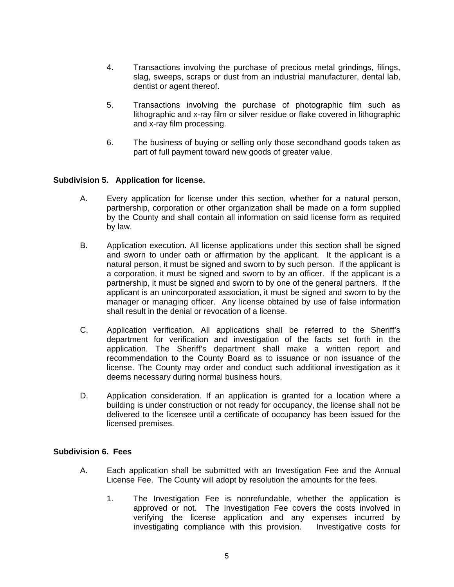- 4. Transactions involving the purchase of precious metal grindings, filings, slag, sweeps, scraps or dust from an industrial manufacturer, dental lab, dentist or agent thereof.
- 5. Transactions involving the purchase of photographic film such as lithographic and x-ray film or silver residue or flake covered in lithographic and x-ray film processing.
- 6. The business of buying or selling only those secondhand goods taken as part of full payment toward new goods of greater value.

# **Subdivision 5. Application for license.**

- A. Every application for license under this section, whether for a natural person, partnership, corporation or other organization shall be made on a form supplied by the County and shall contain all information on said license form as required by law.
- B. Application execution**.** All license applications under this section shall be signed and sworn to under oath or affirmation by the applicant. It the applicant is a natural person, it must be signed and sworn to by such person. If the applicant is a corporation, it must be signed and sworn to by an officer. If the applicant is a partnership, it must be signed and sworn to by one of the general partners. If the applicant is an unincorporated association, it must be signed and sworn to by the manager or managing officer. Any license obtained by use of false information shall result in the denial or revocation of a license.
- C. Application verification. All applications shall be referred to the Sheriff's department for verification and investigation of the facts set forth in the application. The Sheriff's department shall make a written report and recommendation to the County Board as to issuance or non issuance of the license. The County may order and conduct such additional investigation as it deems necessary during normal business hours.
- D. Application consideration. If an application is granted for a location where a building is under construction or not ready for occupancy, the license shall not be delivered to the licensee until a certificate of occupancy has been issued for the licensed premises.

#### **Subdivision 6. Fees**

- A. Each application shall be submitted with an Investigation Fee and the Annual License Fee. The County will adopt by resolution the amounts for the fees.
	- 1. The Investigation Fee is nonrefundable, whether the application is approved or not. The Investigation Fee covers the costs involved in verifying the license application and any expenses incurred by investigating compliance with this provision. Investigative costs for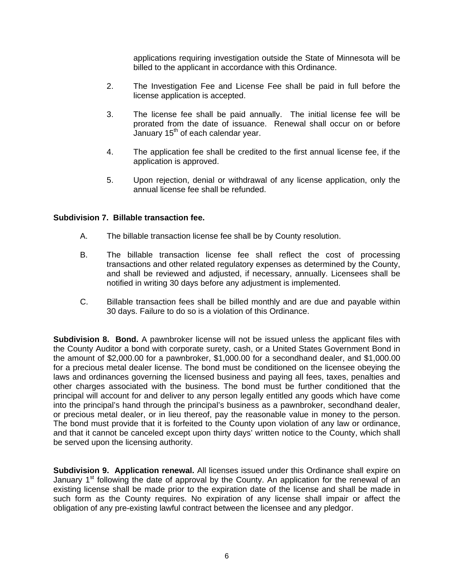applications requiring investigation outside the State of Minnesota will be billed to the applicant in accordance with this Ordinance.

- 2. The Investigation Fee and License Fee shall be paid in full before the license application is accepted.
- 3. The license fee shall be paid annually. The initial license fee will be prorated from the date of issuance. Renewal shall occur on or before January 15<sup>th</sup> of each calendar year.
- 4. The application fee shall be credited to the first annual license fee, if the application is approved.
- 5. Upon rejection, denial or withdrawal of any license application, only the annual license fee shall be refunded.

#### **Subdivision 7. Billable transaction fee.**

- A. The billable transaction license fee shall be by County resolution.
- B. The billable transaction license fee shall reflect the cost of processing transactions and other related regulatory expenses as determined by the County, and shall be reviewed and adjusted, if necessary, annually. Licensees shall be notified in writing 30 days before any adjustment is implemented.
- C. Billable transaction fees shall be billed monthly and are due and payable within 30 days. Failure to do so is a violation of this Ordinance.

**Subdivision 8. Bond.** A pawnbroker license will not be issued unless the applicant files with the County Auditor a bond with corporate surety, cash, or a United States Government Bond in the amount of \$2,000.00 for a pawnbroker, \$1,000.00 for a secondhand dealer, and \$1,000.00 for a precious metal dealer license. The bond must be conditioned on the licensee obeying the laws and ordinances governing the licensed business and paying all fees, taxes, penalties and other charges associated with the business. The bond must be further conditioned that the principal will account for and deliver to any person legally entitled any goods which have come into the principal's hand through the principal's business as a pawnbroker, secondhand dealer, or precious metal dealer, or in lieu thereof, pay the reasonable value in money to the person. The bond must provide that it is forfeited to the County upon violation of any law or ordinance, and that it cannot be canceled except upon thirty days' written notice to the County, which shall be served upon the licensing authority.

**Subdivision 9. Application renewal.** All licenses issued under this Ordinance shall expire on January  $1<sup>st</sup>$  following the date of approval by the County. An application for the renewal of an existing license shall be made prior t*o* the expiration date of the license and shall be made in such form as the County requires. No expiration of any license shall impair or affect the obligation of any pre-existing lawful contract between the licensee and any pledgor.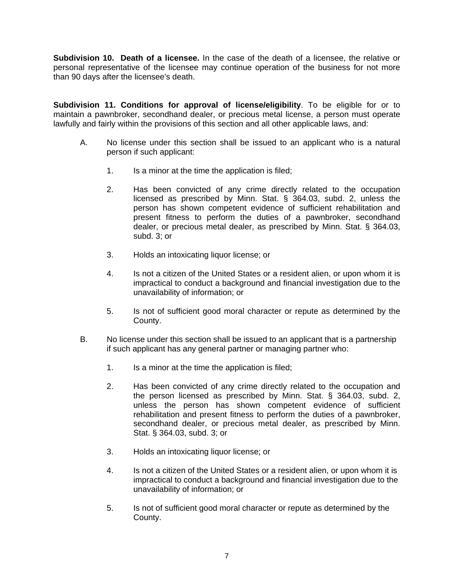**Subdivision 10. Death of a licensee.** In the case of the death of a licensee, the relative or personal representative of the licensee may continue operation of the business for not more than 90 days after the licensee's death.

**Subdivision 11. Conditions for approval of license/eligibility**. To be eligible for or to maintain a pawnbroker, secondhand dealer, or precious metal license, a person must operate lawfully and fairly within the provisions of this section and all other applicable laws, and:

- A. No license under this section shall be issued to an applicant who is a natural person if such applicant:
	- 1. Is a minor at the time the application is filed;
	- 2. Has been convicted of any crime directly related to the occupation licensed as prescribed by Minn. Stat. § 364.03, subd. 2, unless the person has shown competent evidence of sufficient rehabilitation and present fitness to perform the duties of a pawnbroker, secondhand dealer, or precious metal dealer, as prescribed by Minn. Stat. § 364.03, subd. 3; or
	- 3. Holds an intoxicating liquor license; or
	- 4. Is not a citizen of the United States or a resident alien, or upon whom it is impractical to conduct a background and financial investigation due to the unavailability of information; or
	- 5. Is not of sufficient good moral character or repute as determined by the County.
- B. No license under this section shall be issued to an applicant that is a partnership if such applicant has any general partner or managing partner who:
	- 1. Is a minor at the time the application is filed;
	- 2. Has been convicted of any crime directly related to the occupation and the person licensed as prescribed by Minn. Stat. § 364.03, subd. 2, unless the person has shown competent evidence of sufficient rehabilitation and present fitness to perform the duties of a pawnbroker, secondhand dealer, or precious metal dealer, as prescribed by Minn. Stat. § 364.03, subd. 3; or
	- 3. Holds an intoxicating liquor license; or
	- 4. Is not a citizen of the United States or a resident alien, or upon whom it is impractical to conduct a background and financial investigation due to the unavailability of information; or
	- 5. Is not of sufficient good moral character or repute as determined by the County.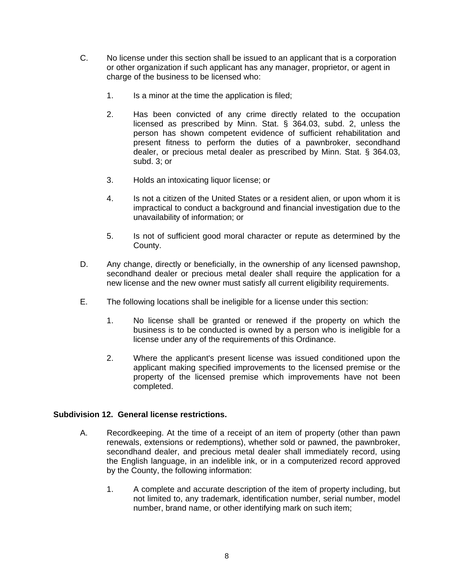- C. No license under this section shall be issued to an applicant that is a corporation or other organization if such applicant has any manager, proprietor, or agent in charge of the business to be licensed who:
	- 1. Is a minor at the time the application is filed;
	- 2. Has been convicted of any crime directly related to the occupation licensed as prescribed by Minn. Stat. § 364.03, subd. 2, unless the person has shown competent evidence of sufficient rehabilitation and present fitness to perform the duties of a pawnbroker, secondhand dealer, or precious metal dealer as prescribed by Minn. Stat. § 364.03, subd. 3; or
	- 3. Holds an intoxicating liquor license; or
	- 4. Is not a citizen of the United States or a resident alien, or upon whom it is impractical to conduct a background and financial investigation due to the unavailability of information; or
	- 5. Is not of sufficient good moral character or repute as determined by the County.
- D. Any change, directly or beneficially, in the ownership of any licensed pawnshop, secondhand dealer or precious metal dealer shall require the application for a new license and the new owner must satisfy all current eligibility requirements.
- E. The following locations shall be ineligible for a license under this section:
	- 1. No license shall be granted or renewed if the property on which the business is to be conducted is owned by a person who is ineligible for a license under any of the requirements of this Ordinance.
	- 2. Where the applicant's present license was issued conditioned upon the applicant making specified improvements to the licensed premise or the property of the licensed premise which improvements have not been completed.

# **Subdivision 12. General license restrictions.**

- A. Recordkeeping. At the time of a receipt of an item of property (other than pawn renewals, extensions or redemptions), whether sold or pawned, the pawnbroker, secondhand dealer, and precious metal dealer shall immediately record, using the English language, in an indelible ink, or in a computerized record approved by the County, the following information:
	- 1. A complete and accurate description of the item of property including, but not limited to, any trademark, identification number, serial number, model number, brand name, or other identifying mark on such item;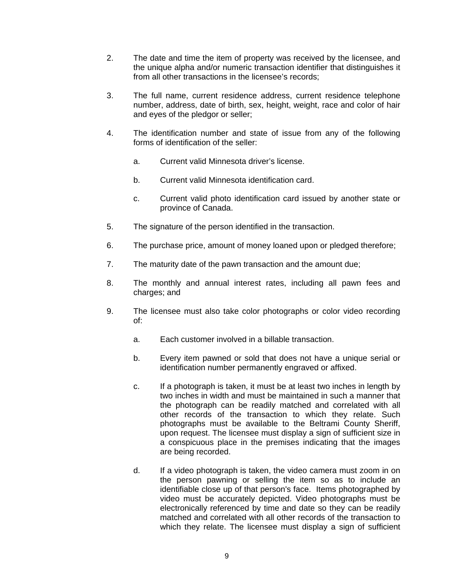- 2. The date and time the item of property was received by the licensee, and the unique alpha and/or numeric transaction identifier that distinguishes it from all other transactions in the licensee's records;
- 3. The full name, current residence address, current residence telephone number, address, date of birth, sex, height, weight, race and color of hair and eyes of the pledgor or seller;
- 4. The identification number and state of issue from any of the following forms of identification of the seller:
	- a. Current valid Minnesota driver's license.
	- b. Current valid Minnesota identification card.
	- c. Current valid photo identification card issued by another state or province of Canada.
- 5. The signature of the person identified in the transaction.
- 6. The purchase price, amount of money loaned upon or pledged therefore;
- 7. The maturity date of the pawn transaction and the amount due;
- 8. The monthly and annual interest rates, including all pawn fees and charges; and
- 9. The licensee must also take color photographs or color video recording of:
	- a. Each customer involved in a billable transaction.
	- b. Every item pawned or sold that does not have a unique serial or identification number permanently engraved or affixed.
	- c. If a photograph is taken, it must be at least two inches in length by two inches in width and must be maintained in such a manner that the photograph can be readily matched and correlated with all other records of the transaction to which they relate. Such photographs must be available to the Beltrami County Sheriff, upon request. The licensee must display a sign of sufficient size in a conspicuous place in the premises indicating that the images are being recorded.
	- d. If a video photograph is taken, the video camera must zoom in on the person pawning or selling the item so as to include an identifiable close up of that person's face. Items photographed by video must be accurately depicted. Video photographs must be electronically referenced by time and date so they can be readily matched and correlated with all other records of the transaction to which they relate. The licensee must display a sign of sufficient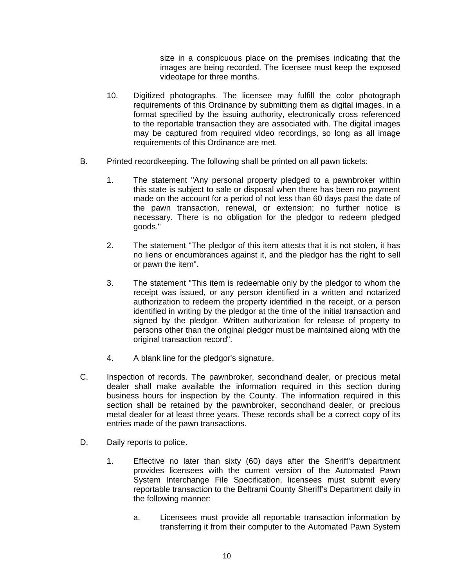size in a conspicuous place on the premises indicating that the images are being recorded. The licensee must keep the exposed videotape for three months.

- 10. Digitized photographs*.* The licensee may fulfill the color photograph requirements of this Ordinance by submitting them as digital images, in a format specified by the issuing authority, electronically cross referenced to the reportable transaction they are associated with. The digital images may be captured from required video recordings, so long as all image requirements of this Ordinance are met.
- B. Printed recordkeeping. The following shall be printed on all pawn tickets:
	- 1. The statement "Any personal property pledged to a pawnbroker within this state is subject to sale or disposal when there has been no payment made on the account for a period of not less than 60 days past the date of the pawn transaction, renewal, or extension; no further notice is necessary. There is no obligation for the pledgor to redeem pledged goods."
	- 2. The statement "The pledgor of this item attests that it is not stolen, it has no liens or encumbrances against it, and the pledgor has the right to sell or pawn the item".
	- 3. The statement "This item is redeemable only by the pledgor to whom the receipt was issued, or any person identified in a written and notarized authorization to redeem the property identified in the receipt, or a person identified in writing by the pledgor at the time of the initial transaction and signed by the pledgor. Written authorization for release of property to persons other than the original pledgor must be maintained along with the original transaction record".
	- 4. A blank line for the pledgor's signature.
- C. Inspection of records. The pawnbroker, secondhand dealer, or precious metal dealer shall make available the information required in this section during business hours for inspection by the County. The information required in this section shall be retained by the pawnbroker, secondhand dealer, or precious metal dealer for at least three years. These records shall be a correct copy of its entries made of the pawn transactions.
- D. Daily reports to police.
	- 1. Effective no later than sixty (60) days after the Sheriff's department provides licensees with the current version of the Automated Pawn System Interchange File Specification, licensees must submit every reportable transaction to the Beltrami County Sheriff's Department daily in the following manner:
		- a. Licensees must provide all reportable transaction information by transferring it from their computer to the Automated Pawn System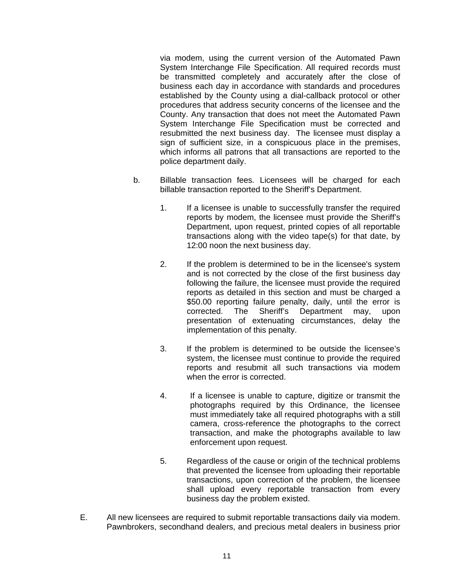via modem, using the current version of the Automated Pawn System Interchange File Specification. All required records must be transmitted completely and accurately after the close of business each day in accordance with standards and procedures established by the County using a dial-callback protocol or other procedures that address security concerns of the licensee and the County. Any transaction that does not meet the Automated Pawn System Interchange File Specification must be corrected and resubmitted the next business day. The licensee must display a sign of sufficient size, in a conspicuous place in the premises, which informs all patrons that all transactions are reported to the police department daily.

- b. Billable transaction fees*.* Licensees will be charged for each billable transaction reported to the Sheriff's Department.
	- 1. If a licensee is unable to successfully transfer the required reports by modem, the licensee must provide the Sheriff's Department, upon request, printed copies of all reportable transactions along with the video tape(s) for that date, by 12:00 noon the next business day.
	- 2. If the problem is determined to be in the licensee's system and is not corrected by the close of the first business day following the failure, the licensee must provide the required reports as detailed in this section and must be charged a \$50.00 reporting failure penalty, daily, until the error is corrected. The Sheriff's Department may, upon presentation of extenuating circumstances, delay the implementation of this penalty.
	- 3. If the problem is determined to be outside the licensee's system, the licensee must continue to provide the required reports and resubmit all such transactions via modem when the error is corrected.
	- 4. If a licensee is unable to capture, digitize or transmit the photographs required by this Ordinance, the licensee must immediately take all required photographs with a still camera, cross-reference the photographs to the correct transaction, and make the photographs available to law enforcement upon request.
	- 5. Regardless of the cause or origin of the technical problems that prevented the licensee from uploading their reportable transactions, upon correction of the problem, the licensee shall upload every reportable transaction from every business day the problem existed.
- E. All new licensees are required to submit reportable transactions daily via modem. Pawnbrokers, secondhand dealers, and precious metal dealers in business prior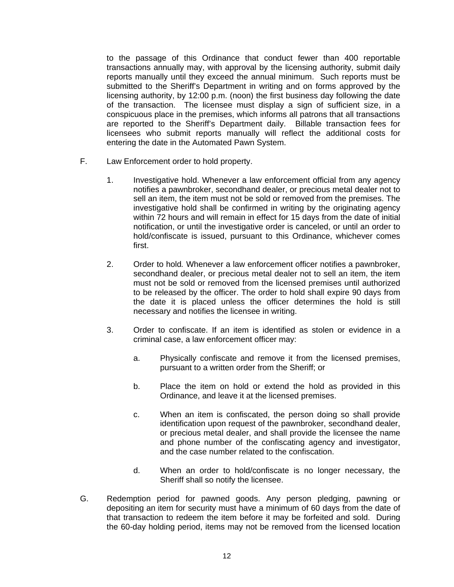to the passage of this Ordinance that conduct fewer than 400 reportable transactions annually may, with approval by the licensing authority, submit daily reports manually until they exceed the annual minimum. Such reports must be submitted to the Sheriff's Department in writing and on forms approved by the licensing authority, by 12:00 p.m. (noon) the first business day following the date of the transaction. The licensee must display a sign of sufficient size, in a conspicuous place in the premises, which informs all patrons that all transactions are reported to the Sheriff's Department daily. Billable transaction fees for licensees who submit reports manually will reflect the additional costs for entering the date in the Automated Pawn System.

- F. Law Enforcement order to hold property.
	- 1. Investigative hold. Whenever a law enforcement official from any agency notifies a pawnbroker, secondhand dealer, or precious metal dealer not to sell an item, the item must not be sold or removed from the premises. The investigative hold shall be confirmed in writing by the originating agency within 72 hours and will remain in effect for 15 days from the date of initial notification, or until the investigative order is canceled, or until an order to hold/confiscate is issued, pursuant to this Ordinance, whichever comes first.
	- 2. Order to hold*.* Whenever a law enforcement officer notifies a pawnbroker, secondhand dealer, or precious metal dealer not to sell an item, the item must not be sold or removed from the licensed premises until authorized to be released by the officer. The order to hold shall expire 90 days from the date it is placed unless the officer determines the hold is still necessary and notifies the licensee in writing.
	- 3. Order to confiscate. If an item is identified as stolen or evidence in a criminal case, a law enforcement officer may:
		- a. Physically confiscate and remove it from the licensed premises, pursuant to a written order from the Sheriff; or
		- b. Place the item on hold or extend the hold as provided in this Ordinance, and leave it at the licensed premises.
		- c. When an item is confiscated, the person doing so shall provide identification upon request of the pawnbroker, secondhand dealer, or precious metal dealer, and shall provide the licensee the name and phone number of the confiscating agency and investigator, and the case number related to the confiscation.
		- d. When an order to hold/confiscate is no longer necessary, the Sheriff shall so notify the licensee.
- G. Redemption period for pawned goods. Any person pledging, pawning or depositing an item for security must have a minimum of 60 days from the date of that transaction to redeem the item before it may be forfeited and sold. During the 60-day holding period, items may not be removed from the licensed location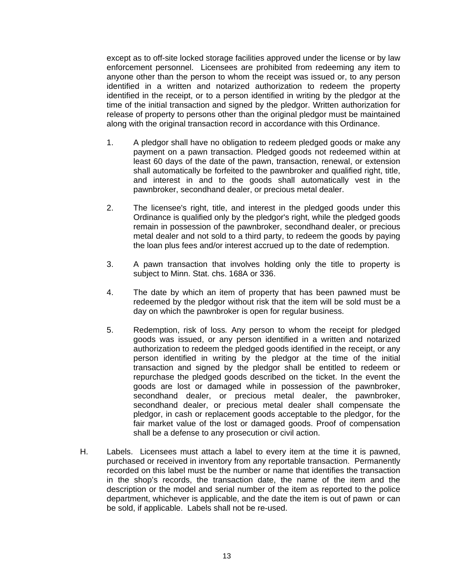except as to off-site locked storage facilities approved under the license or by law enforcement personnel. Licensees are prohibited from redeeming any item to anyone other than the person to whom the receipt was issued or, to any person identified in a written and notarized authorization to redeem the property identified in the receipt, or to a person identified in writing by the pledgor at the time of the initial transaction and signed by the pledgor. Written authorization for release of property to persons other than the original pledgor must be maintained along with the original transaction record in accordance with this Ordinance.

- 1. A pledgor shall have no obligation to redeem pledged goods or make any payment on a pawn transaction. Pledged goods not redeemed within at least 60 days of the date of the pawn, transaction, renewal, or extension shall automatically be forfeited to the pawnbroker and qualified right, title, and interest in and to the goods shall automatically vest in the pawnbroker, secondhand dealer, or precious metal dealer.
- 2. The licensee's right, title, and interest in the pledged goods under this Ordinance is qualified only by the pledgor's right, while the pledged goods remain in possession of the pawnbroker, secondhand dealer, or precious metal dealer and not sold to a third party, to redeem the goods by paying the loan plus fees and/or interest accrued up to the date of redemption.
- 3. A pawn transaction that involves holding only the title to property is subject to Minn. Stat. chs. 168A or 336.
- 4. The date by which an item of property that has been pawned must be redeemed by the pledgor without risk that the item will be sold must be a day on which the pawnbroker is open for regular business.
- 5. Redemption, risk of loss*.* Any person to whom the receipt for pledged goods was issued, or any person identified in a written and notarized authorization to redeem the pledged goods identified in the receipt, or any person identified in writing by the pledgor at the time of the initial transaction and signed by the pledgor shall be entitled to redeem or repurchase the pledged goods described on the ticket. In the event the goods are lost or damaged while in possession of the pawnbroker, secondhand dealer, or precious metal dealer, the pawnbroker, secondhand dealer, or precious metal dealer shall compensate the pledgor, in cash or replacement goods acceptable to the pledgor, for the fair market value of the lost or damaged goods. Proof of compensation shall be a defense to any prosecution or civil action.
- H. Labels. Licensees must attach a label to every item at the time it is pawned, purchased or received in inventory from any reportable transaction. Permanently recorded on this label must be the number or name that identifies the transaction in the shop's records, the transaction date, the name of the item and the description or the model and serial number of the item as reported to the police department, whichever is applicable, and the date the item is out of pawn or can be sold, if applicable. Labels shall not be re-used.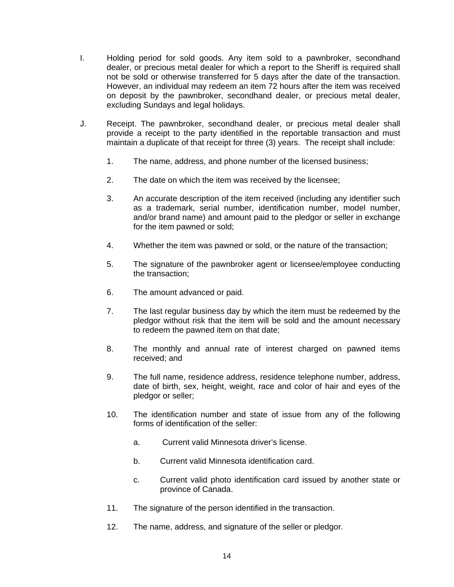- I. Holding period for sold goods. Any item sold to a pawnbroker, secondhand dealer, or precious metal dealer for which a report to the Sheriff is required shall not be sold or otherwise transferred for 5 days after the date of the transaction. However, an individual may redeem an item 72 hours after the item was received on deposit by the pawnbroker, secondhand dealer, or precious metal dealer, excluding Sundays and legal holidays.
- J. Receipt. The pawnbroker, secondhand dealer, or precious metal dealer shall provide a receipt to the party identified in the reportable transaction and must maintain a duplicate of that receipt for three (3) years. The receipt shall include:
	- 1. The name, address, and phone number of the licensed business;
	- 2. The date on which the item was received by the licensee;
	- 3. An accurate description of the item received (including any identifier such as a trademark, serial number, identification number, model number, and/or brand name) and amount paid to the pledgor or seller in exchange for the item pawned or sold;
	- 4. Whether the item was pawned or sold, or the nature of the transaction;
	- 5. The signature of the pawnbroker agent or licensee/employee conducting the transaction;
	- 6. The amount advanced or paid.
	- 7. The last regular business day by which the item must be redeemed by the pledgor without risk that the item will be sold and the amount necessary to redeem the pawned item on that date;
	- 8. The monthly and annual rate of interest charged on pawned items received; and
	- 9. The full name, residence address, residence telephone number, address, date of birth, sex, height, weight, race and color of hair and eyes of the pledgor or seller;
	- 10. The identification number and state of issue from any of the following forms of identification of the seller:
		- a. Current valid Minnesota driver's license.
		- b. Current valid Minnesota identification card.
		- c. Current valid photo identification card issued by another state or province of Canada.
	- 11. The signature of the person identified in the transaction.
	- 12. The name, address, and signature of the seller or pledgor.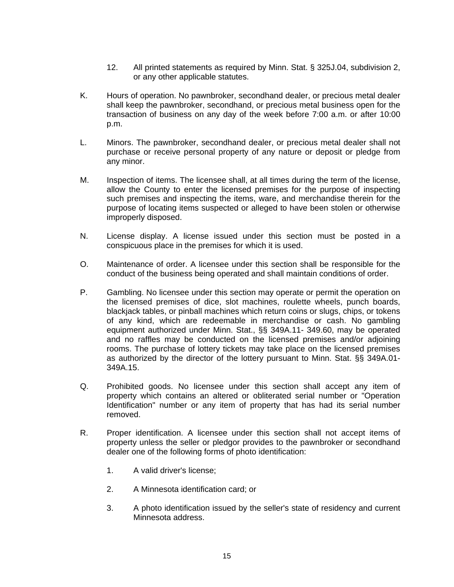- 12. All printed statements as required by Minn. Stat. § 325J.04, subdivision 2, or any other applicable statutes.
- K. Hours of operation. No pawnbroker, secondhand dealer, or precious metal dealer shall keep the pawnbroker, secondhand, or precious metal business open for the transaction of business on any day of the week before 7:00 a.m. or after 10:00 p.m.
- L. Minors. The pawnbroker, secondhand dealer, or precious metal dealer shall not purchase or receive personal property of any nature or deposit or pledge from any minor.
- M. Inspection of items. The licensee shall, at all times during the term of the license, allow the County to enter the licensed premises for the purpose of inspecting such premises and inspecting the items, ware, and merchandise therein for the purpose of locating items suspected or alleged to have been stolen or otherwise improperly disposed.
- N. License display. A license issued under this section must be posted in a conspicuous place in the premises for which it is used.
- O. Maintenance of order. A licensee under this section shall be responsible for the conduct of the business being operated and shall maintain conditions of order.
- P. Gambling. No licensee under this section may operate or permit the operation on the licensed premises of dice, slot machines, roulette wheels, punch boards, blackjack tables, or pinball machines which return coins or slugs, chips, or tokens of any kind, which are redeemable in merchandise or cash. No gambling equipment authorized under Minn. Stat., §§ 349A.11- 349.60, may be operated and no raffles may be conducted on the licensed premises and/or adjoining rooms. The purchase of lottery tickets may take place on the licensed premises as authorized by the director of the lottery pursuant to Minn. Stat. §§ 349A.01- 349A.15.
- Q. Prohibited goods. No licensee under this section shall accept any item of property which contains an altered or obliterated serial number or "Operation Identification" number or any item of property that has had its serial number removed.
- R. Proper identification. A licensee under this section shall not accept items of property unless the seller or pledgor provides to the pawnbroker or secondhand dealer one of the following forms of photo identification:
	- 1. A valid driver's license;
	- 2. A Minnesota identification card; or
	- 3. A photo identification issued by the seller's state of residency and current Minnesota address.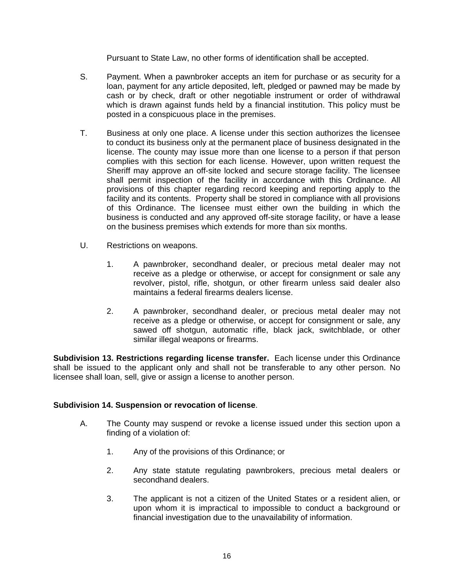Pursuant to State Law, no other forms of identification shall be accepted.

- S. Payment. When a pawnbroker accepts an item for purchase or as security for a loan, payment for any article deposited, left, pledged or pawned may be made by cash or by check, draft or other negotiable instrument or order of withdrawal which is drawn against funds held by a financial institution. This policy must be posted in a conspicuous place in the premises.
- T. Business at only one place. A license under this section authorizes the licensee to conduct its business only at the permanent place of business designated in the license. The county may issue more than one license to a person if that person complies with this section for each license. However, upon written request the Sheriff may approve an off-site locked and secure storage facility. The licensee shall permit inspection of the facility in accordance with this Ordinance. All provisions of this chapter regarding record keeping and reporting apply to the facility and its contents. Property shall be stored in compliance with all provisions of this Ordinance. The licensee must either own the building in which the business is conducted and any approved off-site storage facility, or have a lease on the business premises which extends for more than six months.
- U. Restrictions on weapons.
	- 1. A pawnbroker, secondhand dealer, or precious metal dealer may not receive as a pledge or otherwise, or accept for consignment or sale any revolver, pistol, rifle, shotgun, or other firearm unless said dealer also maintains a federal firearms dealers license.
	- 2. A pawnbroker, secondhand dealer, or precious metal dealer may not receive as a pledge or otherwise, or accept for consignment or sale, any sawed off shotgun, automatic rifle, black jack, switchblade, or other similar illegal weapons or firearms.

**Subdivision 13. Restrictions regarding license transfer.** Each license under this Ordinance shall be issued to the applicant only and shall not be transferable to any other person. No licensee shall loan, sell, give or assign a license to another person.

# **Subdivision 14. Suspension or revocation of license**.

- A. The County may suspend or revoke a license issued under this section upon a finding of a violation of:
	- 1. Any of the provisions of this Ordinance; or
	- 2. Any state statute regulating pawnbrokers, precious metal dealers or secondhand dealers.
	- 3. The applicant is not a citizen of the United States or a resident alien, or upon whom it is impractical to impossible to conduct a background or financial investigation due to the unavailability of information.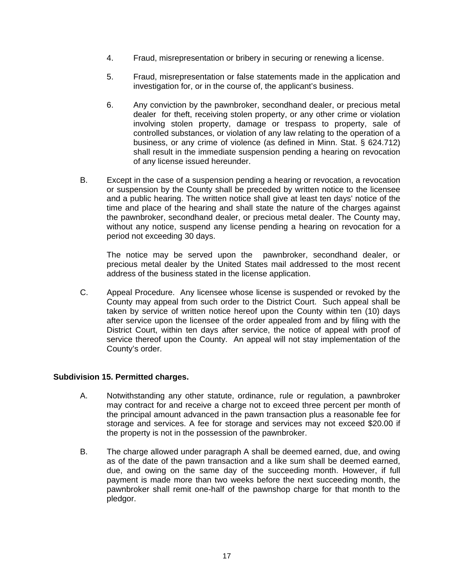- 4. Fraud, misrepresentation or bribery in securing or renewing a license.
- 5. Fraud, misrepresentation or false statements made in the application and investigation for, or in the course of, the applicant's business.
- 6. Any conviction by the pawnbroker, secondhand dealer, or precious metal dealer for theft, receiving stolen property, or any other crime or violation involving stolen property, damage or trespass to property, sale of controlled substances, or violation of any law relating to the operation of a business, or any crime of violence (as defined in Minn. Stat. § 624.712) shall result in the immediate suspension pending a hearing on revocation of any license issued hereunder.
- B. Except in the case of a suspension pending a hearing or revocation, a revocation or suspension by the County shall be preceded by written notice to the licensee and a public hearing. The written notice shall give at least ten days' notice of the time and place of the hearing and shall state the nature of the charges against the pawnbroker, secondhand dealer, or precious metal dealer. The County may, without any notice, suspend any license pending a hearing on revocation for a period not exceeding 30 days.

The notice may be served upon the pawnbroker, secondhand dealer, or precious metal dealer by the United States mail addressed to the most recent address of the business stated in the license application.

C. Appeal Procedure. Any licensee whose license is suspended or revoked by the County may appeal from such order to the District Court. Such appeal shall be taken by service of written notice hereof upon the County within ten (10) days after service upon the licensee of the order appealed from and by filing with the District Court, within ten days after service, the notice of appeal with proof of service thereof upon the County. An appeal will not stay implementation of the County's order.

# **Subdivision 15. Permitted charges.**

- A. Notwithstanding any other statute, ordinance, rule or regulation, a pawnbroker may contract for and receive a charge not to exceed three percent per month of the principal amount advanced in the pawn transaction plus a reasonable fee for storage and services. A fee for storage and services may not exceed \$20.00 if the property is not in the possession of the pawnbroker.
- B. The charge allowed under paragraph A shall be deemed earned, due, and owing as of the date of the pawn transaction and a like sum shall be deemed earned, due, and owing on the same day of the succeeding month. However, if full payment is made more than two weeks before the next succeeding month, the pawnbroker shall remit one-half of the pawnshop charge for that month to the pledgor.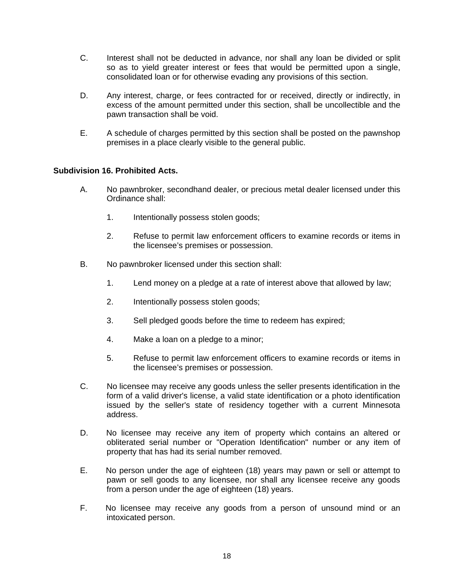- C. Interest shall not be deducted in advance, nor shall any loan be divided or split so as to yield greater interest or fees that would be permitted upon a single, consolidated loan or for otherwise evading any provisions of this section.
- D. Any interest, charge, or fees contracted for or received, directly or indirectly, in excess of the amount permitted under this section, shall be uncollectible and the pawn transaction shall be void.
- E. A schedule of charges permitted by this section shall be posted on the pawnshop premises in a place clearly visible to the general public.

# **Subdivision 16. Prohibited Acts.**

- A. No pawnbroker, secondhand dealer, or precious metal dealer licensed under this Ordinance shall:
	- 1. Intentionally possess stolen goods;
	- 2. Refuse to permit law enforcement officers to examine records or items in the licensee's premises or possession.
- B. No pawnbroker licensed under this section shall:
	- 1. Lend money on a pledge at a rate of interest above that allowed by law;
	- 2. Intentionally possess stolen goods;
	- 3. Sell pledged goods before the time to redeem has expired;
	- 4. Make a loan on a pledge to a minor;
	- 5. Refuse to permit law enforcement officers to examine records or items in the licensee's premises or possession.
- C. No licensee may receive any goods unless the seller presents identification in the form of a valid driver's license, a valid state identification or a photo identification issued by the seller's state of residency together with a current Minnesota address.
- D. No licensee may receive any item of property which contains an altered or obliterated serial number or "Operation Identification" number or any item of property that has had its serial number removed.
- E. No person under the age of eighteen (18) years may pawn or sell or attempt to pawn or sell goods to any licensee, nor shall any licensee receive any goods from a person under the age of eighteen (18) years.
- F. No licensee may receive any goods from a person of unsound mind or an intoxicated person.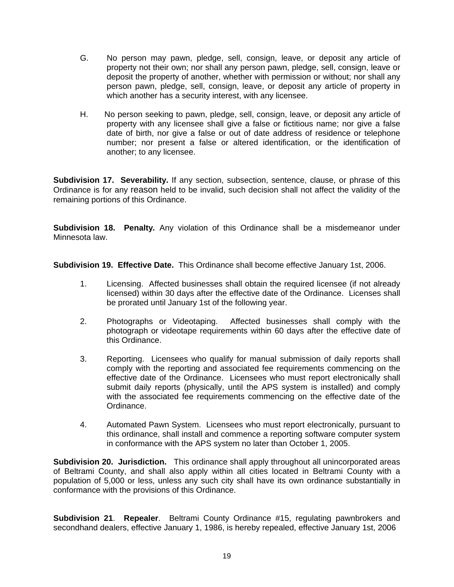- G. No person may pawn, pledge, sell, consign, leave, or deposit any article of property not their own; nor shall any person pawn, pledge, sell, consign, leave or deposit the property of another, whether with permission or without; nor shall any person pawn, pledge, sell, consign, leave, or deposit any article of property in which another has a security interest, with any licensee.
- H. No person seeking to pawn, pledge, sell, consign, leave, or deposit any article of property with any licensee shall give a false or fictitious name; nor give a false date of birth, nor give a false or out of date address of residence or telephone number; nor present a false or altered identification, or the identification of another; to any licensee.

**Subdivision 17. Severability.** If any section, subsection, sentence, clause, or phrase of this Ordinance is for any reason held to be invalid, such decision shall not affect the validity of the remaining portions of this Ordinance.

**Subdivision 18. Penalty***.* Any violation of this Ordinance shall be a misdemeanor under Minnesota law.

**Subdivision 19. Effective Date.** This Ordinance shall become effective January 1st, 2006.

- 1. Licensing. Affected businesses shall obtain the required licensee (if not already licensed) within 30 days after the effective date of the Ordinance. Licenses shall be prorated until January 1st of the following year.
- 2. Photographs or Videotaping. Affected businesses shall comply with the photograph or videotape requirements within 60 days after the effective date of this Ordinance.
- 3. Reporting. Licensees who qualify for manual submission of daily reports shall comply with the reporting and associated fee requirements commencing on the effective date of the Ordinance. Licensees who must report electronically shall submit daily reports (physically, until the APS system is installed) and comply with the associated fee requirements commencing on the effective date of the Ordinance.
- 4. Automated Pawn System. Licensees who must report electronically, pursuant to this ordinance, shall install and commence a reporting software computer system in conformance with the APS system no later than October 1, 2005.

**Subdivision 20. Jurisdiction.** This ordinance shall apply throughout all unincorporated areas of Beltrami County, and shall also apply within all cities located in Beltrami County with a population of 5,000 or less, unless any such city shall have its own ordinance substantially in conformance with the provisions of this Ordinance.

**Subdivision 21**. **Repealer**. Beltrami County Ordinance #15, regulating pawnbrokers and secondhand dealers, effective January 1, 1986, is hereby repealed, effective January 1st, 2006